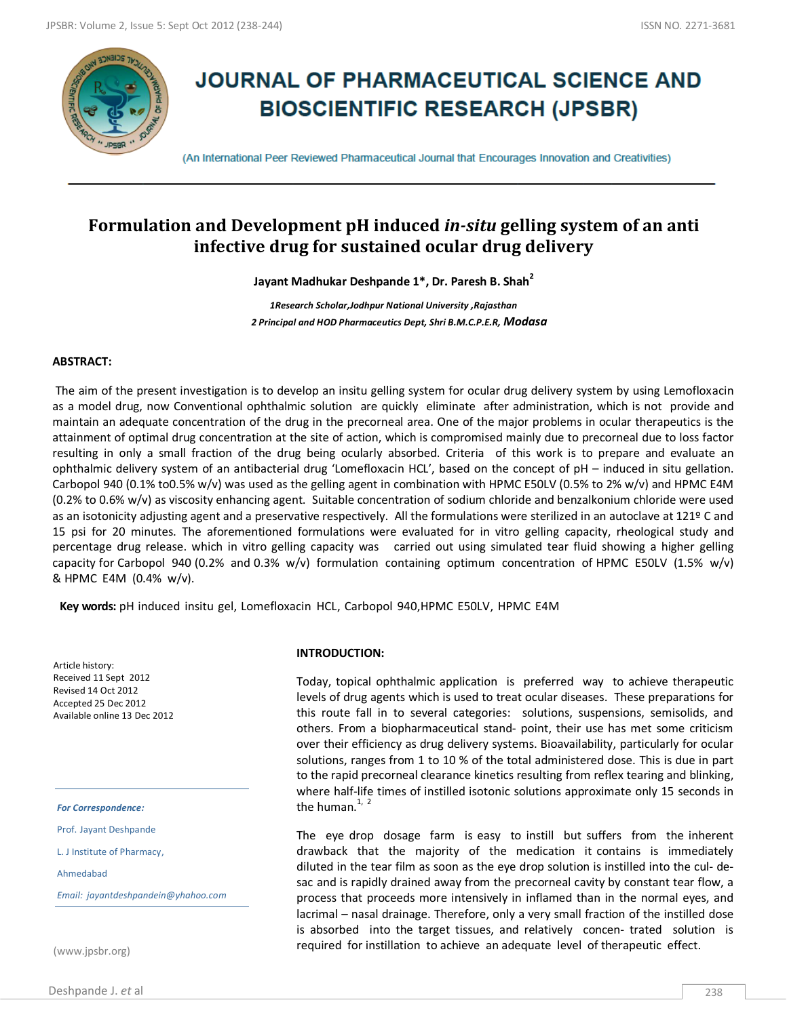

# **JOURNAL OF PHARMACEUTICAL SCIENCE AND BIOSCIENTIFIC RESEARCH (JPSBR)**

(An International Peer Reviewed Pharmaceutical Journal that Encourages Innovation and Creativities)

## **Formulation and Development pH induced** *in-situ* **gelling system of an anti infective drug for sustained ocular drug delivery**

**Jayant Madhukar Deshpande 1\*, Dr. Paresh B. Shah<sup>2</sup>**

*1Research Scholar,Jodhpur National University ,Rajasthan 2 Principal and HOD Pharmaceutics Dept, Shri B.M.C.P.E.R, Modasa*

#### **ABSTRACT:**

The aim of the present investigation is to develop an insitu gelling system for ocular drug delivery system by using Lemofloxacin as a model drug, now Conventional ophthalmic solution are quickly eliminate after administration, which is not provide and maintain an adequate concentration of the drug in the precorneal area. One of the major problems in ocular therapeutics is the attainment of optimal drug concentration at the site of action, which is compromised mainly due to precorneal due to loss factor resulting in only a small fraction of the drug being ocularly absorbed. Criteria of this work is to prepare and evaluate an ophthalmic delivery system of an antibacterial drug 'Lomefloxacin HCL', based on the concept of pH – induced in situ gellation. Carbopol 940 (0.1% to0.5% w/v) was used as the gelling agent in combination with HPMC E50LV (0.5% to 2% w/v) and HPMC E4M (0.2% to 0.6% w/v) as viscosity enhancing agent. Suitable concentration of sodium chloride and benzalkonium chloride were used as an isotonicity adjusting agent and a preservative respectively. All the formulations were sterilized in an autoclave at 121º C and 15 psi for 20 minutes. The aforementioned formulations were evaluated for in vitro gelling capacity, rheological study and percentage drug release. which in vitro gelling capacity was carried out using simulated tear fluid showing a higher gelling capacity for Carbopol 940 (0.2% and 0.3% w/v) formulation containing optimum concentration of HPMC E50LV (1.5% w/v) & HPMC E4M (0.4% w/v).

**Key words:** pH induced insitu gel, Lomefloxacin HCL, Carbopol 940,HPMC E50LV, HPMC E4M

Article history: Received 11 Sept 2012 Revised 14 Oct 2012 Accepted 25 Dec 2012 Available online 13 Dec 2012

*For Correspondence:*

Prof. Jayant Deshpande

L. J Institute of Pharmacy,

Ahmedabad

*Email: jayantdeshpandein@yhahoo.com*

(www.jpsbr.org)

#### **INTRODUCTION:**

Today, topical ophthalmic application is preferred way to achieve therapeutic levels of drug agents which is used to treat ocular diseases. These preparations for this route fall in to several categories: solutions, suspensions, semisolids, and others. From a biopharmaceutical stand- point, their use has met some criticism over their efficiency as drug delivery systems. Bioavailability, particularly for ocular solutions, ranges from 1 to 10 % of the total administered dose. This is due in part to the rapid precorneal clearance kinetics resulting from reflex tearing and blinking, where half-life times of instilled isotonic solutions approximate only 15 seconds in the human.<sup>1, 2</sup>

The eye drop dosage farm is easy to instill but suffers from the inherent drawback that the majority of the medication it contains is immediately diluted in the tear film as soon as the eye drop solution is instilled into the cul- desac and is rapidly drained away from the precorneal cavity by constant tear flow, a process that proceeds more intensively in inflamed than in the normal eyes, and lacrimal – nasal drainage. Therefore, only a very small fraction of the instilled dose is absorbed into the target tissues, and relatively concen- trated solution is required for instillation to achieve an adequate level of therapeutic effect.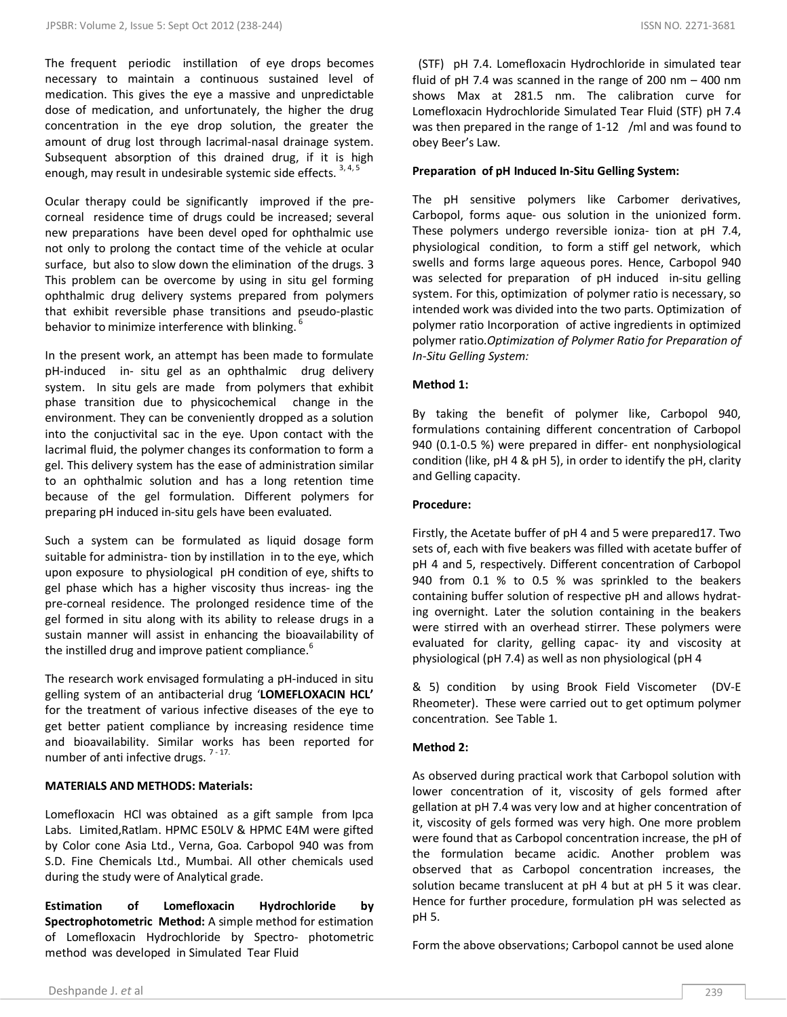The frequent periodic instillation of eye drops becomes necessary to maintain a continuous sustained level of medication. This gives the eye a massive and unpredictable dose of medication, and unfortunately, the higher the drug concentration in the eye drop solution, the greater the amount of drug lost through lacrimal-nasal drainage system. Subsequent absorption of this drained drug, if it is high enough, may result in undesirable systemic side effects. <sup>3, 4, 5</sup>

Ocular therapy could be significantly improved if the precorneal residence time of drugs could be increased; several new preparations have been devel oped for ophthalmic use not only to prolong the contact time of the vehicle at ocular surface, but also to slow down the elimination of the drugs. 3 This problem can be overcome by using in situ gel forming ophthalmic drug delivery systems prepared from polymers that exhibit reversible phase transitions and pseudo-plastic behavior to minimize interference with blinking. <sup>6</sup>

In the present work, an attempt has been made to formulate pH-induced in- situ gel as an ophthalmic drug delivery system. In situ gels are made from polymers that exhibit phase transition due to physicochemical change in the environment. They can be conveniently dropped as a solution into the conjuctivital sac in the eye. Upon contact with the lacrimal fluid, the polymer changes its conformation to form a gel. This delivery system has the ease of administration similar to an ophthalmic solution and has a long retention time because of the gel formulation. Different polymers for preparing pH induced in-situ gels have been evaluated.

Such a system can be formulated as liquid dosage form suitable for administra- tion by instillation in to the eye, which upon exposure to physiological pH condition of eye, shifts to gel phase which has a higher viscosity thus increas- ing the pre-corneal residence. The prolonged residence time of the gel formed in situ along with its ability to release drugs in a sustain manner will assist in enhancing the bioavailability of the instilled drug and improve patient compliance.<sup>6</sup>

The research work envisaged formulating a pH-induced in situ gelling system of an antibacterial drug '**LOMEFLOXACIN HCL'** for the treatment of various infective diseases of the eye to get better patient compliance by increasing residence time and bioavailability. Similar works has been reported for number of anti infective drugs. <sup>7-17.</sup>

## **MATERIALS AND METHODS: Materials:**

Lomefloxacin HCl was obtained as a gift sample from Ipca Labs. Limited,Ratlam. HPMC E50LV & HPMC E4M were gifted by Color cone Asia Ltd., Verna, Goa. Carbopol 940 was from S.D. Fine Chemicals Ltd., Mumbai. All other chemicals used during the study were of Analytical grade.

**Estimation of Lomefloxacin Hydrochloride by Spectrophotometric Method:** A simple method for estimation of Lomefloxacin Hydrochloride by Spectro- photometric method was developed in Simulated Tear Fluid

 (STF) pH 7.4. Lomefloxacin Hydrochloride in simulated tear fluid of pH 7.4 was scanned in the range of 200 nm – 400 nm shows Max at 281.5 nm. The calibration curve for Lomefloxacin Hydrochloride Simulated Tear Fluid (STF) pH 7.4 was then prepared in the range of 1-12 /ml and was found to obey Beer's Law.

## **Preparation of pH Induced In-Situ Gelling System:**

The pH sensitive polymers like Carbomer derivatives, Carbopol, forms aque- ous solution in the unionized form. These polymers undergo reversible ioniza- tion at pH 7.4, physiological condition, to form a stiff gel network, which swells and forms large aqueous pores. Hence, Carbopol 940 was selected for preparation of pH induced in-situ gelling system. For this, optimization of polymer ratio is necessary, so intended work was divided into the two parts. Optimization of polymer ratio Incorporation of active ingredients in optimized polymer ratio.*Optimization of Polymer Ratio for Preparation of In-Situ Gelling System:*

## **Method 1:**

By taking the benefit of polymer like, Carbopol 940, formulations containing different concentration of Carbopol 940 (0.1-0.5 %) were prepared in differ- ent nonphysiological condition (like, pH 4 & pH 5), in order to identify the pH, clarity and Gelling capacity.

## **Procedure:**

Firstly, the Acetate buffer of pH 4 and 5 were prepared17. Two sets of, each with five beakers was filled with acetate buffer of pH 4 and 5, respectively. Different concentration of Carbopol 940 from 0.1 % to 0.5 % was sprinkled to the beakers containing buffer solution of respective pH and allows hydrating overnight. Later the solution containing in the beakers were stirred with an overhead stirrer. These polymers were evaluated for clarity, gelling capac- ity and viscosity at physiological (pH 7.4) as well as non physiological (pH 4

& 5) condition by using Brook Field Viscometer (DV-E Rheometer). These were carried out to get optimum polymer concentration. See Table 1.

## **Method 2:**

As observed during practical work that Carbopol solution with lower concentration of it, viscosity of gels formed after gellation at pH 7.4 was very low and at higher concentration of it, viscosity of gels formed was very high. One more problem were found that as Carbopol concentration increase, the pH of the formulation became acidic. Another problem was observed that as Carbopol concentration increases, the solution became translucent at pH 4 but at pH 5 it was clear. Hence for further procedure, formulation pH was selected as pH 5.

Form the above observations; Carbopol cannot be used alone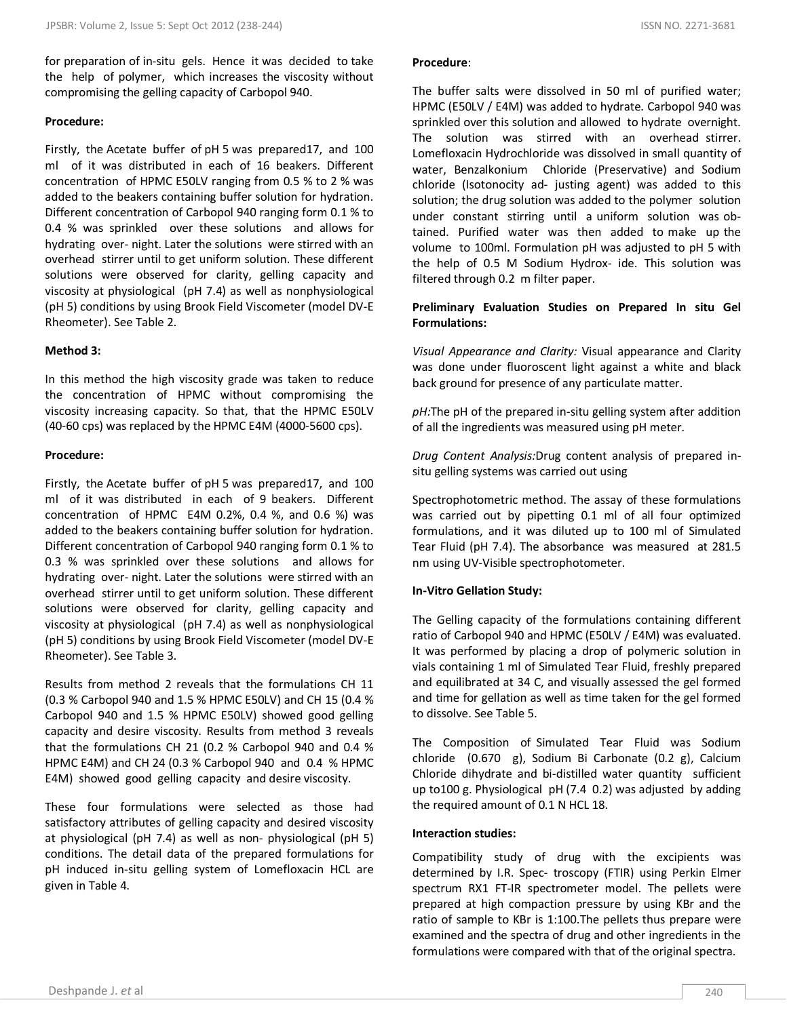for preparation of in-situ gels. Hence it was decided to take the help of polymer, which increases the viscosity without compromising the gelling capacity of Carbopol 940.

## **Procedure:**

Firstly, the Acetate buffer of pH 5 was prepared17, and 100 ml of it was distributed in each of 16 beakers. Different concentration of HPMC E50LV ranging from 0.5 % to 2 % was added to the beakers containing buffer solution for hydration. Different concentration of Carbopol 940 ranging form 0.1 % to 0.4 % was sprinkled over these solutions and allows for hydrating over- night. Later the solutions were stirred with an overhead stirrer until to get uniform solution. These different solutions were observed for clarity, gelling capacity and viscosity at physiological (pH 7.4) as well as nonphysiological (pH 5) conditions by using Brook Field Viscometer (model DV-E Rheometer). See Table 2.

## **Method 3:**

In this method the high viscosity grade was taken to reduce the concentration of HPMC without compromising the viscosity increasing capacity. So that, that the HPMC E50LV (40-60 cps) was replaced by the HPMC E4M (4000-5600 cps).

## **Procedure:**

Firstly, the Acetate buffer of pH 5 was prepared17, and 100 ml of it was distributed in each of 9 beakers. Different concentration of HPMC E4M 0.2%, 0.4 %, and 0.6 %) was added to the beakers containing buffer solution for hydration. Different concentration of Carbopol 940 ranging form 0.1 % to 0.3 % was sprinkled over these solutions and allows for hydrating over- night. Later the solutions were stirred with an overhead stirrer until to get uniform solution. These different solutions were observed for clarity, gelling capacity and viscosity at physiological (pH 7.4) as well as nonphysiological (pH 5) conditions by using Brook Field Viscometer (model DV-E Rheometer). See Table 3.

Results from method 2 reveals that the formulations CH 11 (0.3 % Carbopol 940 and 1.5 % HPMC E50LV) and CH 15 (0.4 % Carbopol 940 and 1.5 % HPMC E50LV) showed good gelling capacity and desire viscosity. Results from method 3 reveals that the formulations CH 21 (0.2 % Carbopol 940 and 0.4 % HPMC E4M) and CH 24 (0.3 % Carbopol 940 and 0.4 % HPMC E4M) showed good gelling capacity and desire viscosity.

These four formulations were selected as those had satisfactory attributes of gelling capacity and desired viscosity at physiological (pH 7.4) as well as non- physiological (pH 5) conditions. The detail data of the prepared formulations for pH induced in-situ gelling system of Lomefloxacin HCL are given in Table 4.

## **Procedure**:

The buffer salts were dissolved in 50 ml of purified water; HPMC (E50LV / E4M) was added to hydrate. Carbopol 940 was sprinkled over this solution and allowed to hydrate overnight. The solution was stirred with an overhead stirrer. Lomefloxacin Hydrochloride was dissolved in small quantity of water, Benzalkonium Chloride (Preservative) and Sodium chloride (Isotonocity ad- justing agent) was added to this solution; the drug solution was added to the polymer solution under constant stirring until a uniform solution was obtained. Purified water was then added to make up the volume to 100ml. Formulation pH was adjusted to pH 5 with the help of 0.5 M Sodium Hydrox- ide. This solution was filtered through 0.2 m filter paper.

## **Preliminary Evaluation Studies on Prepared In situ Gel Formulations:**

*Visual Appearance and Clarity:* Visual appearance and Clarity was done under fluoroscent light against a white and black back ground for presence of any particulate matter.

*pH:*The pH of the prepared in-situ gelling system after addition of all the ingredients was measured using pH meter.

*Drug Content Analysis:*Drug content analysis of prepared insitu gelling systems was carried out using

Spectrophotometric method. The assay of these formulations was carried out by pipetting 0.1 ml of all four optimized formulations, and it was diluted up to 100 ml of Simulated Tear Fluid (pH 7.4). The absorbance was measured at 281.5 nm using UV-Visible spectrophotometer.

## **In-Vitro Gellation Study:**

The Gelling capacity of the formulations containing different ratio of Carbopol 940 and HPMC (E50LV / E4M) was evaluated. It was performed by placing a drop of polymeric solution in vials containing 1 ml of Simulated Tear Fluid, freshly prepared and equilibrated at 34 C, and visually assessed the gel formed and time for gellation as well as time taken for the gel formed to dissolve. See Table 5.

The Composition of Simulated Tear Fluid was Sodium chloride (0.670 g), Sodium Bi Carbonate (0.2 g), Calcium Chloride dihydrate and bi-distilled water quantity sufficient up to100 g. Physiological pH (7.4 0.2) was adjusted by adding the required amount of 0.1 N HCL 18.

## **Interaction studies:**

Compatibility study of drug with the excipients was determined by I.R. Spec- troscopy (FTIR) using Perkin Elmer spectrum RX1 FT-IR spectrometer model. The pellets were prepared at high compaction pressure by using KBr and the ratio of sample to KBr is 1:100.The pellets thus prepare were examined and the spectra of drug and other ingredients in the formulations were compared with that of the original spectra.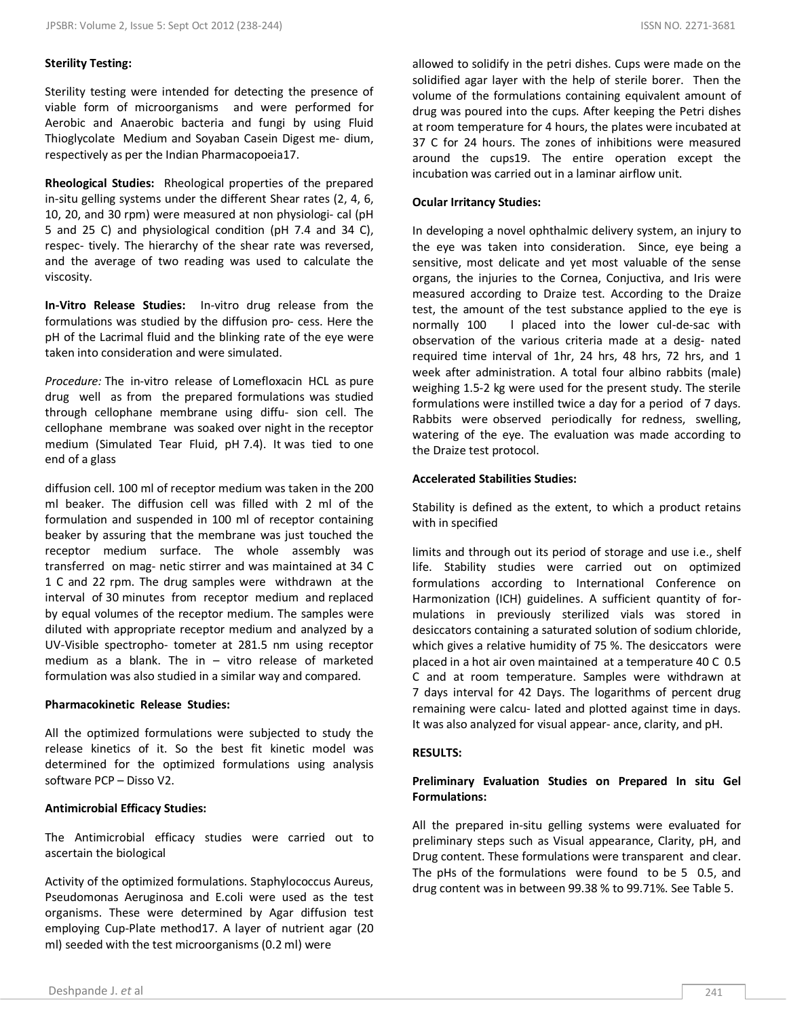## **Sterility Testing:**

Sterility testing were intended for detecting the presence of viable form of microorganisms and were performed for Aerobic and Anaerobic bacteria and fungi by using Fluid Thioglycolate Medium and Soyaban Casein Digest me- dium, respectively as per the Indian Pharmacopoeia17.

**Rheological Studies:** Rheological properties of the prepared in-situ gelling systems under the different Shear rates (2, 4, 6, 10, 20, and 30 rpm) were measured at non physiologi- cal (pH 5 and 25 C) and physiological condition (pH 7.4 and 34 C), respec- tively. The hierarchy of the shear rate was reversed, and the average of two reading was used to calculate the viscosity.

**In-Vitro Release Studies:** In-vitro drug release from the formulations was studied by the diffusion pro- cess. Here the pH of the Lacrimal fluid and the blinking rate of the eye were taken into consideration and were simulated.

*Procedure:* The in-vitro release of Lomefloxacin HCL as pure drug well as from the prepared formulations was studied through cellophane membrane using diffu- sion cell. The cellophane membrane was soaked over night in the receptor medium (Simulated Tear Fluid, pH 7.4). It was tied to one end of a glass

diffusion cell. 100 ml of receptor medium was taken in the 200 ml beaker. The diffusion cell was filled with 2 ml of the formulation and suspended in 100 ml of receptor containing beaker by assuring that the membrane was just touched the receptor medium surface. The whole assembly was transferred on mag- netic stirrer and was maintained at 34 C 1 C and 22 rpm. The drug samples were withdrawn at the interval of 30 minutes from receptor medium and replaced by equal volumes of the receptor medium. The samples were diluted with appropriate receptor medium and analyzed by a UV-Visible spectropho- tometer at 281.5 nm using receptor medium as a blank. The in  $-$  vitro release of marketed formulation was also studied in a similar way and compared.

#### **Pharmacokinetic Release Studies:**

All the optimized formulations were subjected to study the release kinetics of it. So the best fit kinetic model was determined for the optimized formulations using analysis software PCP – Disso V2.

## **Antimicrobial Efficacy Studies:**

The Antimicrobial efficacy studies were carried out to ascertain the biological

Activity of the optimized formulations. Staphylococcus Aureus, Pseudomonas Aeruginosa and E.coli were used as the test organisms. These were determined by Agar diffusion test employing Cup-Plate method17. A layer of nutrient agar (20 ml) seeded with the test microorganisms (0.2 ml) were

allowed to solidify in the petri dishes. Cups were made on the solidified agar layer with the help of sterile borer. Then the volume of the formulations containing equivalent amount of drug was poured into the cups. After keeping the Petri dishes at room temperature for 4 hours, the plates were incubated at 37 C for 24 hours. The zones of inhibitions were measured around the cups19. The entire operation except the incubation was carried out in a laminar airflow unit.

#### **Ocular Irritancy Studies:**

In developing a novel ophthalmic delivery system, an injury to the eye was taken into consideration. Since, eye being a sensitive, most delicate and yet most valuable of the sense organs, the injuries to the Cornea, Conjuctiva, and Iris were measured according to Draize test. According to the Draize test, the amount of the test substance applied to the eye is normally 100 l placed into the lower cul-de-sac with observation of the various criteria made at a desig- nated required time interval of 1hr, 24 hrs, 48 hrs, 72 hrs, and 1 week after administration. A total four albino rabbits (male) weighing 1.5-2 kg were used for the present study. The sterile formulations were instilled twice a day for a period of 7 days. Rabbits were observed periodically for redness, swelling, watering of the eye. The evaluation was made according to the Draize test protocol.

## **Accelerated Stabilities Studies:**

Stability is defined as the extent, to which a product retains with in specified

limits and through out its period of storage and use i.e., shelf life. Stability studies were carried out on optimized formulations according to International Conference on Harmonization (ICH) guidelines. A sufficient quantity of formulations in previously sterilized vials was stored in desiccators containing a saturated solution of sodium chloride, which gives a relative humidity of 75 %. The desiccators were placed in a hot air oven maintained at a temperature 40 C 0.5 C and at room temperature. Samples were withdrawn at 7 days interval for 42 Days. The logarithms of percent drug remaining were calcu- lated and plotted against time in days. It was also analyzed for visual appear- ance, clarity, and pH.

#### **RESULTS:**

## **Preliminary Evaluation Studies on Prepared In situ Gel Formulations:**

All the prepared in-situ gelling systems were evaluated for preliminary steps such as Visual appearance, Clarity, pH, and Drug content. These formulations were transparent and clear. The pHs of the formulations were found to be 5 0.5, and drug content was in between 99.38 % to 99.71%. See Table 5.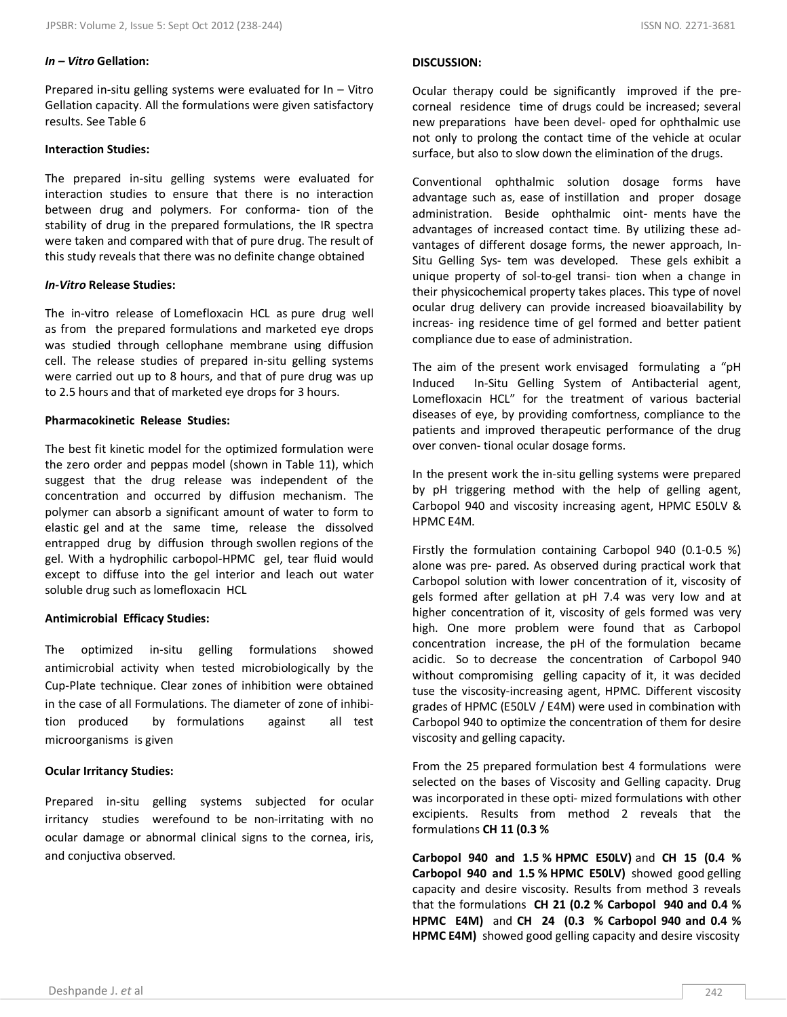## *In – Vitro* **Gellation:**

Prepared in-situ gelling systems were evaluated for In – Vitro Gellation capacity. All the formulations were given satisfactory results. See Table 6

## **Interaction Studies:**

The prepared in-situ gelling systems were evaluated for interaction studies to ensure that there is no interaction between drug and polymers. For conforma- tion of the stability of drug in the prepared formulations, the IR spectra were taken and compared with that of pure drug. The result of this study reveals that there was no definite change obtained

## *In-Vitro* **Release Studies:**

The in-vitro release of Lomefloxacin HCL as pure drug well as from the prepared formulations and marketed eye drops was studied through cellophane membrane using diffusion cell. The release studies of prepared in-situ gelling systems were carried out up to 8 hours, and that of pure drug was up to 2.5 hours and that of marketed eye drops for 3 hours.

#### **Pharmacokinetic Release Studies:**

The best fit kinetic model for the optimized formulation were the zero order and peppas model (shown in Table 11), which suggest that the drug release was independent of the concentration and occurred by diffusion mechanism. The polymer can absorb a significant amount of water to form to elastic gel and at the same time, release the dissolved entrapped drug by diffusion through swollen regions of the gel. With a hydrophilic carbopol-HPMC gel, tear fluid would except to diffuse into the gel interior and leach out water soluble drug such as lomefloxacin HCL

## **Antimicrobial Efficacy Studies:**

The optimized in-situ gelling formulations showed antimicrobial activity when tested microbiologically by the Cup-Plate technique. Clear zones of inhibition were obtained in the case of all Formulations. The diameter of zone of inhibition produced by formulations against all test microorganisms is given

#### **Ocular Irritancy Studies:**

Prepared in-situ gelling systems subjected for ocular irritancy studies werefound to be non-irritating with no ocular damage or abnormal clinical signs to the cornea, iris, and conjuctiva observed.

#### **DISCUSSION:**

Ocular therapy could be significantly improved if the precorneal residence time of drugs could be increased; several new preparations have been devel- oped for ophthalmic use not only to prolong the contact time of the vehicle at ocular surface, but also to slow down the elimination of the drugs.

Conventional ophthalmic solution dosage forms have advantage such as, ease of instillation and proper dosage administration. Beside ophthalmic oint- ments have the advantages of increased contact time. By utilizing these advantages of different dosage forms, the newer approach, In-Situ Gelling Sys- tem was developed. These gels exhibit a unique property of sol-to-gel transi- tion when a change in their physicochemical property takes places. This type of novel ocular drug delivery can provide increased bioavailability by increas- ing residence time of gel formed and better patient compliance due to ease of administration.

The aim of the present work envisaged formulating a "pH Induced In-Situ Gelling System of Antibacterial agent, Lomefloxacin HCL" for the treatment of various bacterial diseases of eye, by providing comfortness, compliance to the patients and improved therapeutic performance of the drug over conven- tional ocular dosage forms.

In the present work the in-situ gelling systems were prepared by pH triggering method with the help of gelling agent, Carbopol 940 and viscosity increasing agent, HPMC E50LV & HPMC E4M.

Firstly the formulation containing Carbopol 940 (0.1-0.5 %) alone was pre- pared. As observed during practical work that Carbopol solution with lower concentration of it, viscosity of gels formed after gellation at pH 7.4 was very low and at higher concentration of it, viscosity of gels formed was very high. One more problem were found that as Carbopol concentration increase, the pH of the formulation became acidic. So to decrease the concentration of Carbopol 940 without compromising gelling capacity of it, it was decided tuse the viscosity-increasing agent, HPMC. Different viscosity grades of HPMC (E50LV / E4M) were used in combination with Carbopol 940 to optimize the concentration of them for desire viscosity and gelling capacity.

From the 25 prepared formulation best 4 formulations were selected on the bases of Viscosity and Gelling capacity. Drug was incorporated in these opti- mized formulations with other excipients. Results from method 2 reveals that the formulations **CH 11 (0.3 %**

**Carbopol 940 and 1.5 % HPMC E50LV)** and **CH 15 (0.4 % Carbopol 940 and 1.5 % HPMC E50LV)** showed good gelling capacity and desire viscosity. Results from method 3 reveals that the formulations **CH 21 (0.2 % Carbopol 940 and 0.4 % HPMC E4M)** and **CH 24 (0.3 % Carbopol 940 and 0.4 % HPMC E4M)** showed good gelling capacity and desire viscosity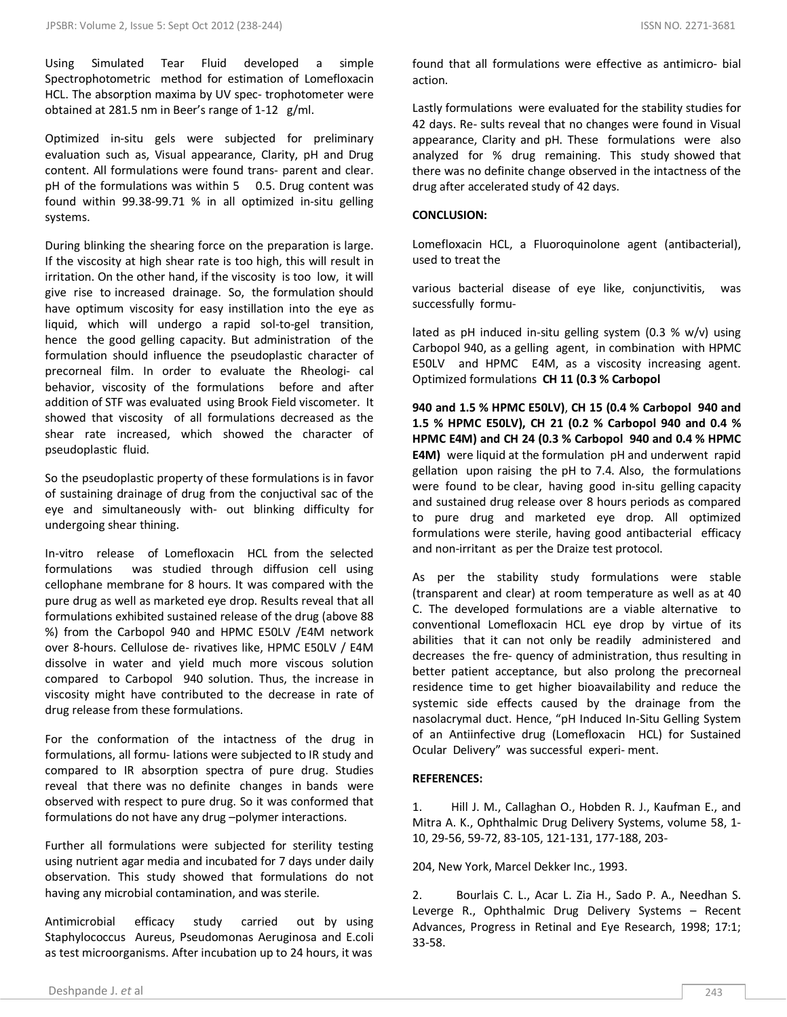Using Simulated Tear Fluid developed a simple Spectrophotometric method for estimation of Lomefloxacin HCL. The absorption maxima by UV spec- trophotometer were obtained at 281.5 nm in Beer's range of 1-12 g/ml.

Optimized in-situ gels were subjected for preliminary evaluation such as, Visual appearance, Clarity, pH and Drug content. All formulations were found trans- parent and clear. pH of the formulations was within 5 0.5. Drug content was found within 99.38-99.71 % in all optimized in-situ gelling systems.

During blinking the shearing force on the preparation is large. If the viscosity at high shear rate is too high, this will result in irritation. On the other hand, if the viscosity is too low, it will give rise to increased drainage. So, the formulation should have optimum viscosity for easy instillation into the eye as liquid, which will undergo a rapid sol-to-gel transition, hence the good gelling capacity. But administration of the formulation should influence the pseudoplastic character of precorneal film. In order to evaluate the Rheologi- cal behavior, viscosity of the formulations before and after addition of STF was evaluated using Brook Field viscometer. It showed that viscosity of all formulations decreased as the shear rate increased, which showed the character of pseudoplastic fluid.

So the pseudoplastic property of these formulations is in favor of sustaining drainage of drug from the conjuctival sac of the eye and simultaneously with- out blinking difficulty for undergoing shear thining.

In-vitro release of Lomefloxacin HCL from the selected formulations was studied through diffusion cell using cellophane membrane for 8 hours. It was compared with the pure drug as well as marketed eye drop. Results reveal that all formulations exhibited sustained release of the drug (above 88 %) from the Carbopol 940 and HPMC E50LV /E4M network over 8-hours. Cellulose de- rivatives like, HPMC E50LV / E4M dissolve in water and yield much more viscous solution compared to Carbopol 940 solution. Thus, the increase in viscosity might have contributed to the decrease in rate of drug release from these formulations.

For the conformation of the intactness of the drug in formulations, all formu- lations were subjected to IR study and compared to IR absorption spectra of pure drug. Studies reveal that there was no definite changes in bands were observed with respect to pure drug. So it was conformed that formulations do not have any drug –polymer interactions.

Further all formulations were subjected for sterility testing using nutrient agar media and incubated for 7 days under daily observation. This study showed that formulations do not having any microbial contamination, and was sterile.

Antimicrobial efficacy study carried out by using Staphylococcus Aureus, Pseudomonas Aeruginosa and E.coli as test microorganisms. After incubation up to 24 hours, it was

found that all formulations were effective as antimicro- bial action.

Lastly formulations were evaluated for the stability studies for 42 days. Re- sults reveal that no changes were found in Visual appearance, Clarity and pH. These formulations were also analyzed for % drug remaining. This study showed that there was no definite change observed in the intactness of the drug after accelerated study of 42 days.

## **CONCLUSION:**

Lomefloxacin HCL, a Fluoroquinolone agent (antibacterial), used to treat the

various bacterial disease of eye like, conjunctivitis, was successfully formu-

lated as pH induced in-situ gelling system (0.3 % w/v) using Carbopol 940, as a gelling agent, in combination with HPMC E50LV and HPMC E4M, as a viscosity increasing agent. Optimized formulations **CH 11 (0.3 % Carbopol**

**940 and 1.5 % HPMC E50LV)**, **CH 15 (0.4 % Carbopol 940 and 1.5 % HPMC E50LV), CH 21 (0.2 % Carbopol 940 and 0.4 % HPMC E4M) and CH 24 (0.3 % Carbopol 940 and 0.4 % HPMC E4M)** were liquid at the formulation pH and underwent rapid gellation upon raising the pH to 7.4. Also, the formulations were found to be clear, having good in-situ gelling capacity and sustained drug release over 8 hours periods as compared to pure drug and marketed eye drop. All optimized formulations were sterile, having good antibacterial efficacy and non-irritant as per the Draize test protocol.

As per the stability study formulations were stable (transparent and clear) at room temperature as well as at 40 C. The developed formulations are a viable alternative to conventional Lomefloxacin HCL eye drop by virtue of its abilities that it can not only be readily administered and decreases the fre- quency of administration, thus resulting in better patient acceptance, but also prolong the precorneal residence time to get higher bioavailability and reduce the systemic side effects caused by the drainage from the nasolacrymal duct. Hence, "pH Induced In-Situ Gelling System of an Antiinfective drug (Lomefloxacin HCL) for Sustained Ocular Delivery" was successful experi- ment.

## **REFERENCES:**

1. Hill J. M., Callaghan O., Hobden R. J., Kaufman E., and Mitra A. K., Ophthalmic Drug Delivery Systems, volume 58, 1- 10, 29-56, 59-72, 83-105, 121-131, 177-188, 203-

204, New York, Marcel Dekker Inc., 1993.

2. Bourlais C. L., Acar L. Zia H., Sado P. A., Needhan S. Leverge R., Ophthalmic Drug Delivery Systems – Recent Advances, Progress in Retinal and Eye Research, 1998; 17:1; 33-58.